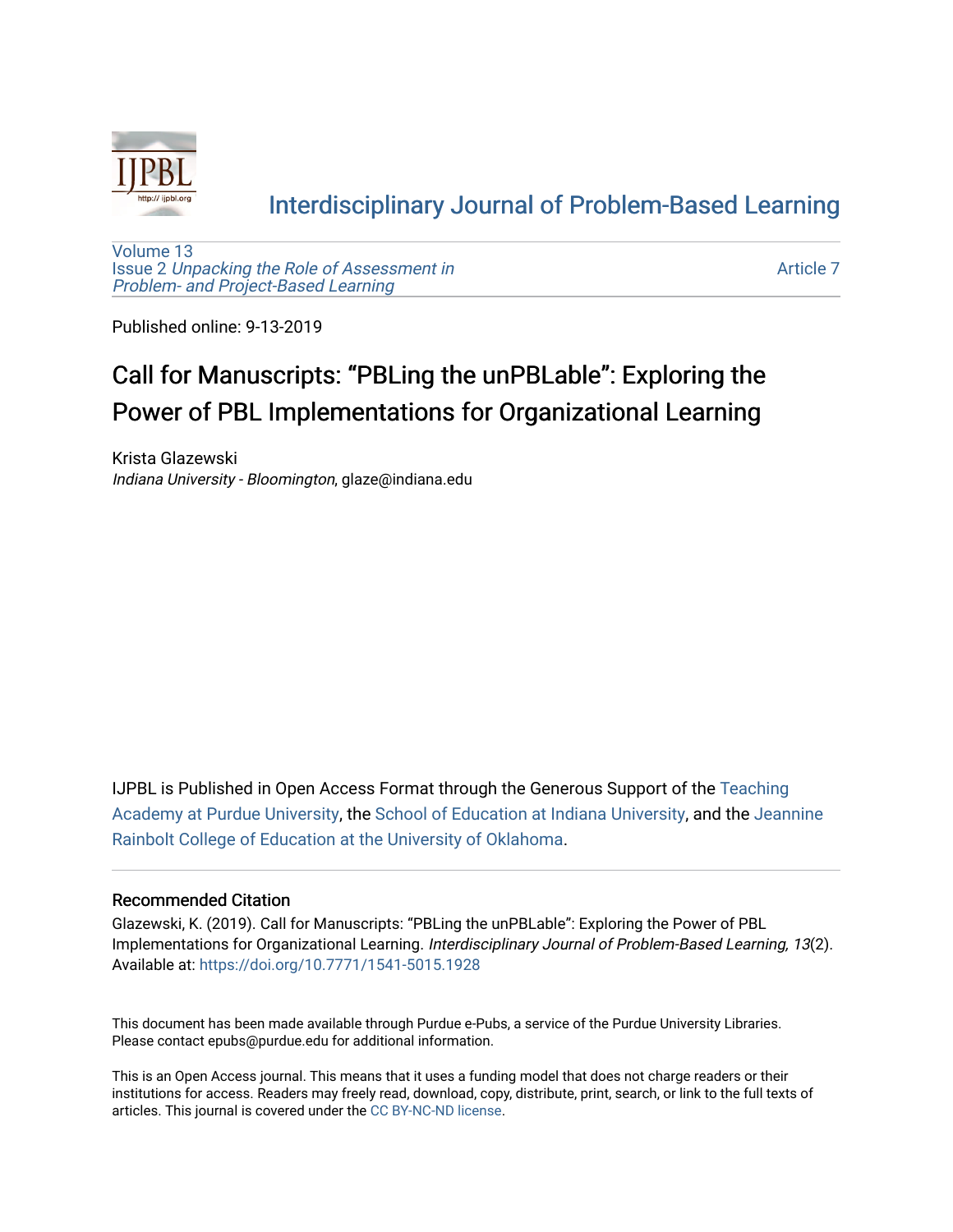

### [Interdisciplinary Journal of Problem-Based Learning](https://docs.lib.purdue.edu/ijpbl)

[Volume 13](https://docs.lib.purdue.edu/ijpbl/vol13) Issue 2 [Unpacking the Role of Assessment in](https://docs.lib.purdue.edu/ijpbl/vol13/iss2)  [Problem- and Project-Based Learning](https://docs.lib.purdue.edu/ijpbl/vol13/iss2)

[Article 7](https://docs.lib.purdue.edu/ijpbl/vol13/iss2/7) 

Published online: 9-13-2019

# Call for Manuscripts: "PBLing the unPBLable": Exploring the Power of PBL Implementations for Organizational Learning

Krista Glazewski Indiana University - Bloomington, glaze@indiana.edu

IJPBL is Published in Open Access Format through the Generous Support of the [Teaching](https://www.purdue.edu/cie/aboutus/teachingacademy.html) [Academy at Purdue University](https://www.purdue.edu/cie/aboutus/teachingacademy.html), the [School of Education at Indiana University,](https://education.indiana.edu/index.html) and the [Jeannine](http://ou.edu/education) [Rainbolt College of Education at the University of Oklahoma](http://ou.edu/education).

#### Recommended Citation

Glazewski, K. (2019). Call for Manuscripts: "PBLing the unPBLable": Exploring the Power of PBL Implementations for Organizational Learning. Interdisciplinary Journal of Problem-Based Learning, 13(2). Available at:<https://doi.org/10.7771/1541-5015.1928>

This document has been made available through Purdue e-Pubs, a service of the Purdue University Libraries. Please contact epubs@purdue.edu for additional information.

This is an Open Access journal. This means that it uses a funding model that does not charge readers or their institutions for access. Readers may freely read, download, copy, distribute, print, search, or link to the full texts of articles. This journal is covered under the [CC BY-NC-ND license](https://creativecommons.org/licenses/by-nc-nd/4.0/).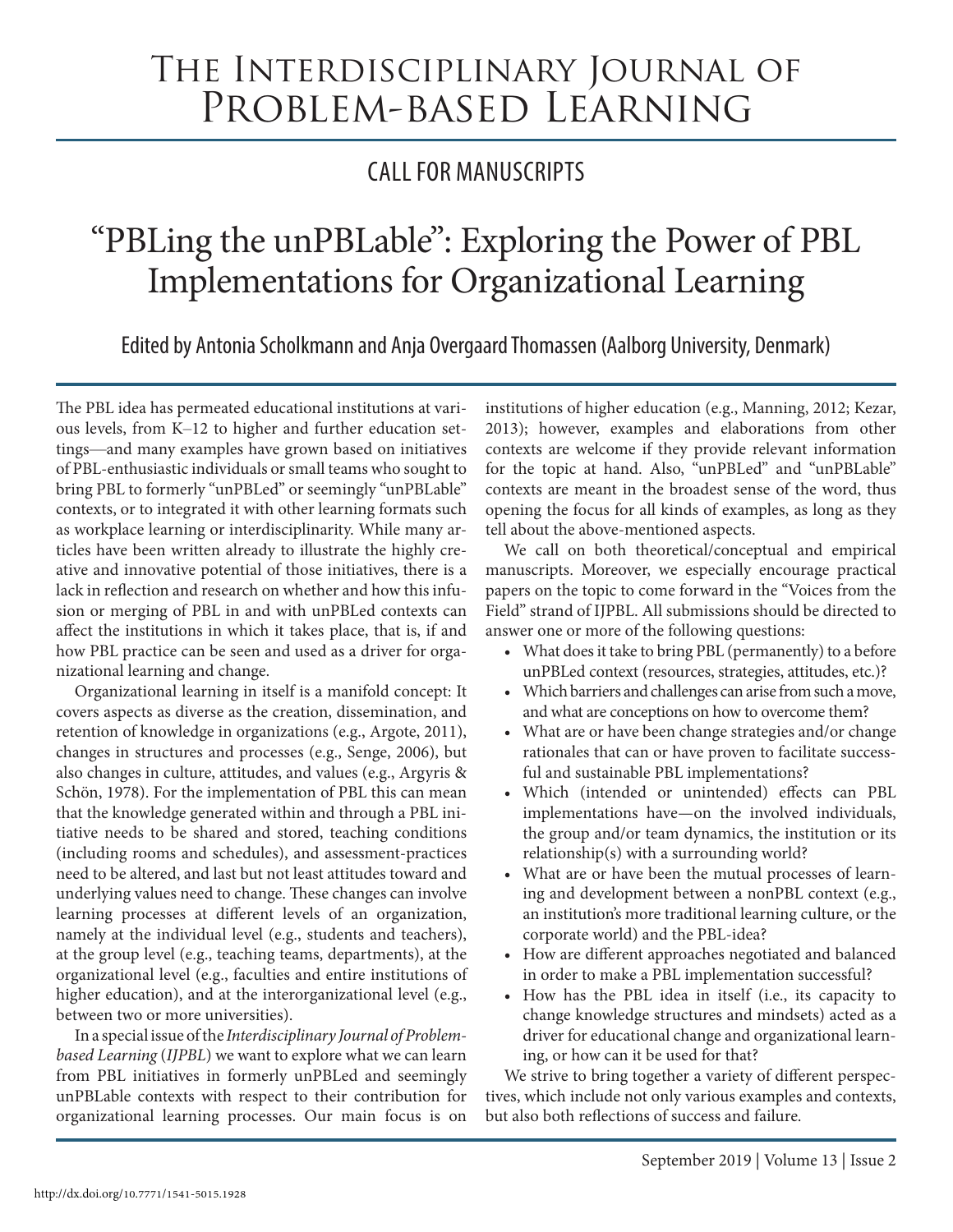# The Interdisciplinary Journal of Problem-based Learning

# CALL FOR MANUSCRIPTS

# "PBLing the unPBLable": Exploring the Power of PBL Implementations for Organizational Learning

Edited by Antonia Scholkmann and Anja Overgaard Thomassen (Aalborg University, Denmark)

The PBL idea has permeated educational institutions at various levels, from K–12 to higher and further education settings—and many examples have grown based on initiatives of PBL-enthusiastic individuals or small teams who sought to bring PBL to formerly "unPBLed" or seemingly "unPBLable" contexts, or to integrated it with other learning formats such as workplace learning or interdisciplinarity. While many articles have been written already to illustrate the highly creative and innovative potential of those initiatives, there is a lack in reflection and research on whether and how this infusion or merging of PBL in and with unPBLed contexts can affect the institutions in which it takes place, that is, if and how PBL practice can be seen and used as a driver for organizational learning and change.

Organizational learning in itself is a manifold concept: It covers aspects as diverse as the creation, dissemination, and retention of knowledge in organizations (e.g., Argote, 2011), changes in structures and processes (e.g., Senge, 2006), but also changes in culture, attitudes, and values (e.g., Argyris & Schön, 1978). For the implementation of PBL this can mean that the knowledge generated within and through a PBL initiative needs to be shared and stored, teaching conditions (including rooms and schedules), and assessment-practices need to be altered, and last but not least attitudes toward and underlying values need to change. These changes can involve learning processes at different levels of an organization, namely at the individual level (e.g., students and teachers), at the group level (e.g., teaching teams, departments), at the organizational level (e.g., faculties and entire institutions of higher education), and at the interorganizational level (e.g., between two or more universities).

In a special issue of the *Interdisciplinary Journal of Problembased Learning* (*IJPBL*) we want to explore what we can learn from PBL initiatives in formerly unPBLed and seemingly unPBLable contexts with respect to their contribution for organizational learning processes. Our main focus is on

institutions of higher education (e.g., Manning, 2012; Kezar, 2013); however, examples and elaborations from other contexts are welcome if they provide relevant information for the topic at hand. Also, "unPBLed" and "unPBLable" contexts are meant in the broadest sense of the word, thus opening the focus for all kinds of examples, as long as they tell about the above-mentioned aspects.

We call on both theoretical/conceptual and empirical manuscripts. Moreover, we especially encourage practical papers on the topic to come forward in the "Voices from the Field" strand of IJPBL. All submissions should be directed to answer one or more of the following questions:

- What does it take to bring PBL (permanently) to a before unPBLed context (resources, strategies, attitudes, etc.)?
- Which barriers and challenges can arise from such a move, and what are conceptions on how to overcome them?
- What are or have been change strategies and/or change rationales that can or have proven to facilitate successful and sustainable PBL implementations?
- Which (intended or unintended) effects can PBL implementations have—on the involved individuals, the group and/or team dynamics, the institution or its relationship(s) with a surrounding world?
- What are or have been the mutual processes of learning and development between a nonPBL context (e.g., an institution's more traditional learning culture, or the corporate world) and the PBL-idea?
- How are different approaches negotiated and balanced in order to make a PBL implementation successful?
- How has the PBL idea in itself (i.e., its capacity to change knowledge structures and mindsets) acted as a driver for educational change and organizational learning, or how can it be used for that?

We strive to bring together a variety of different perspectives, which include not only various examples and contexts, but also both reflections of success and failure.